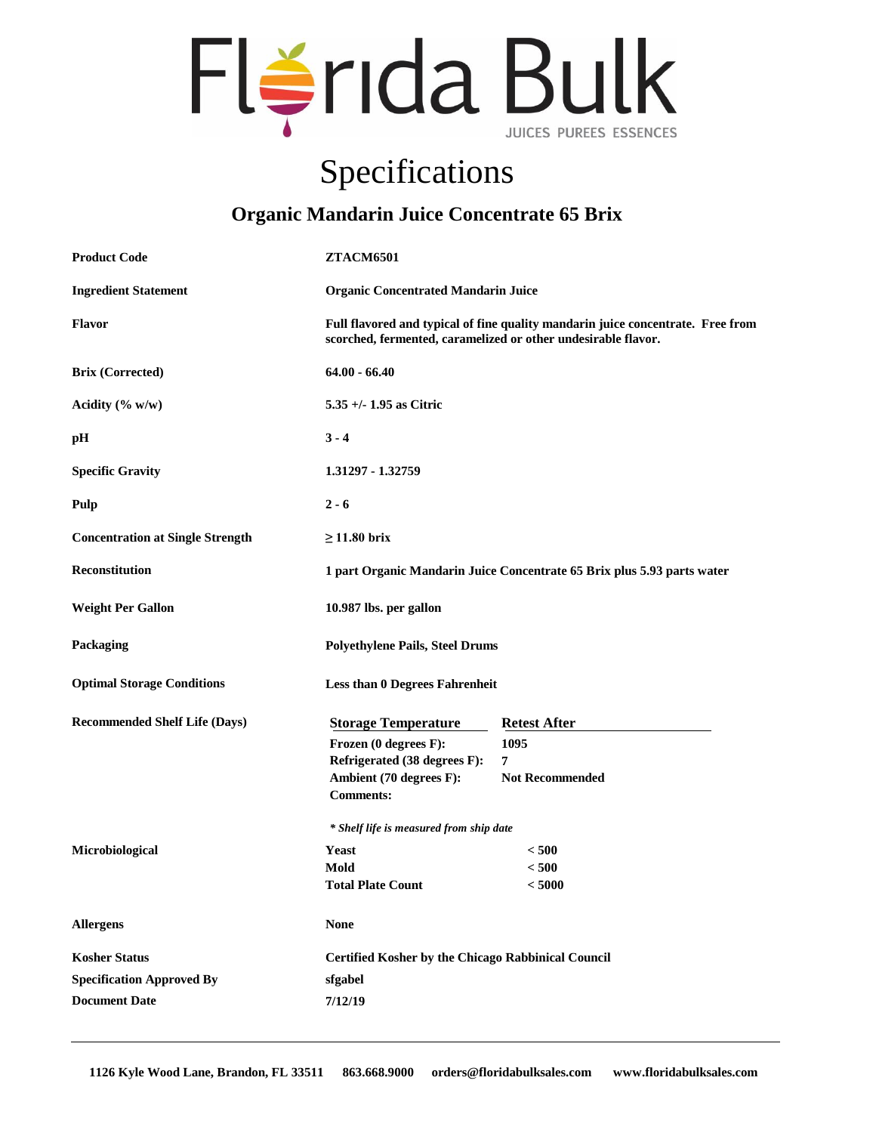

## Specifications

## **Organic Mandarin Juice Concentrate 65 Brix**

| <b>Product Code</b>                     | <b>ZTACM6501</b>                                                                                                                                 |                        |
|-----------------------------------------|--------------------------------------------------------------------------------------------------------------------------------------------------|------------------------|
| <b>Ingredient Statement</b>             | <b>Organic Concentrated Mandarin Juice</b>                                                                                                       |                        |
| Flavor                                  | Full flavored and typical of fine quality mandarin juice concentrate. Free from<br>scorched, fermented, caramelized or other undesirable flavor. |                        |
| <b>Brix (Corrected)</b>                 | $64.00 - 66.40$                                                                                                                                  |                        |
| Acidity $(\% w/w)$                      | $5.35 + (-1.95)$ as Citric                                                                                                                       |                        |
| pH                                      | $3 - 4$                                                                                                                                          |                        |
| <b>Specific Gravity</b>                 | 1.31297 - 1.32759                                                                                                                                |                        |
| Pulp                                    | $2 - 6$                                                                                                                                          |                        |
| <b>Concentration at Single Strength</b> | $\geq$ 11.80 brix                                                                                                                                |                        |
| <b>Reconstitution</b>                   | 1 part Organic Mandarin Juice Concentrate 65 Brix plus 5.93 parts water                                                                          |                        |
| <b>Weight Per Gallon</b>                | 10.987 lbs. per gallon                                                                                                                           |                        |
| Packaging                               | <b>Polyethylene Pails, Steel Drums</b>                                                                                                           |                        |
| <b>Optimal Storage Conditions</b>       | <b>Less than 0 Degrees Fahrenheit</b>                                                                                                            |                        |
| <b>Recommended Shelf Life (Days)</b>    | <b>Storage Temperature</b>                                                                                                                       | <b>Retest After</b>    |
|                                         | Frozen (0 degrees F):                                                                                                                            | 1095                   |
|                                         | Refrigerated (38 degrees F):                                                                                                                     | 7                      |
|                                         | Ambient (70 degrees F):<br><b>Comments:</b>                                                                                                      | <b>Not Recommended</b> |
|                                         | * Shelf life is measured from ship date                                                                                                          |                        |
| Microbiological                         | Yeast                                                                                                                                            | < 500                  |
|                                         | Mold                                                                                                                                             | < 500                  |
|                                         | <b>Total Plate Count</b>                                                                                                                         | < 5000                 |
| <b>Allergens</b>                        | <b>None</b>                                                                                                                                      |                        |
| <b>Kosher Status</b>                    | <b>Certified Kosher by the Chicago Rabbinical Council</b>                                                                                        |                        |
| <b>Specification Approved By</b>        | sfgabel                                                                                                                                          |                        |
| <b>Document Date</b>                    | 7/12/19                                                                                                                                          |                        |